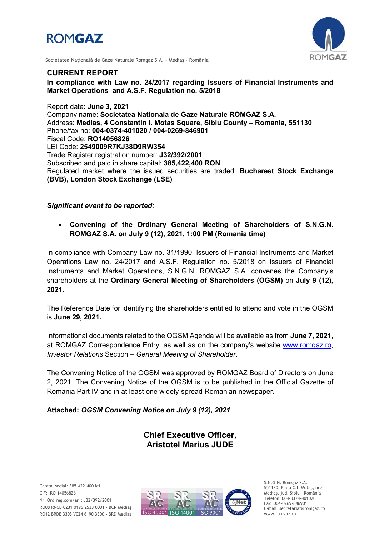



Societatea Naţională de Gaze Naturale Romgaz S.A. – Mediaş - România

### *CURRENT REPORT*

In compliance with Law no. 24/2017 regarding Issuers of Financial Instruments and *Market Operations and A.S.F. Regulation no. 5/2018*

*Report date: June 3, 2021 Company name: Societatea Nationala de Gaze Naturale ROMGAZ S.A. Address: Medias, 4 Constantin I. Motas Square, Sibiu County* **–** *Romania, 551130 Phone/fax no: 004-0374-401020 / 004-0269-846901 Fiscal Code: RO14056826 LEI Code: 2549009R7KJ38D9RW354 Trade Register registration number: J32/392/2001 Subscribed and paid in share capital: 385,422,400 RON Regulated market where the issued securities are traded: Bucharest Stock Exchange (BVB), London Stock Exchange (LSE)*

*Significant event to be reported:*

 *Convening of the Ordinary General Meeting of Shareholders of S.N.G.N. ROMGAZ S.A. on July 9 (12), 2021, 1:00 PM (Romania time)*

*In compliance with Company Law no. 31/1990, Issuers of Financial Instruments and Market Operations Law no. 24/2017 and A.S.F. Regulation no. 5/2018 on Issuers of Financial Instruments and Market Operations, S.N.G.N. ROMGAZ S.A. convenes* the Company's *shareholders at the Ordinary General Meeting of Shareholders (OGSM) on July 9 (12), 2021.*

*The Reference Date for identifying the shareholders entitled to attend and vote in the OGSM is June 29, 2021.*

*Informational documents related to the OGSM Agenda will be available as from June 7, 2021,*  at ROMGAZ Correspondence Entry, as well as on the company's website *[www.romgaz.ro,](http://www.romgaz.ro/) Investor Relations Section* – *General Meeting of Shareholder.*

*The Convening Notice of the OGSM was approved by ROMGAZ Board of Directors on June 2, 2021. The Convening Notice of the OGSM is to be published in the Official Gazette of Romania Part IV and in at least one widely-spread Romanian newspaper.*

*Attached: OGSM Convening Notice on July 9 (12), 2021*

*Chief Executive Officer, Aristotel Marius JUDE*



S.N.G.N. Romgaz S.A. 551130, Piața C.I. Motaş, nr.4 Mediaş, jud. Sibiu - România Telefon 004-0374-401020 Fax 004-0269-846901 E-mail secretariat@romgaz.ro www.romgaz.ro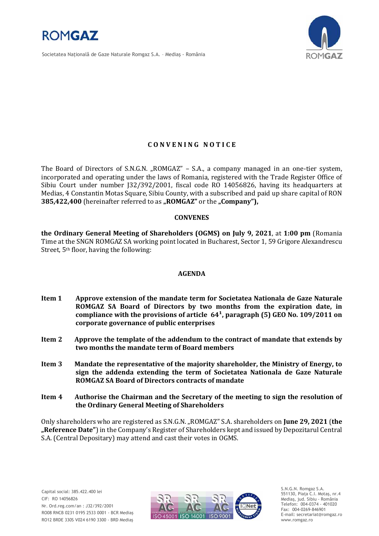

Societatea Naţională de Gaze Naturale Romgaz S.A. – Mediaş - România



# **C O N V E N I N G N O T I C E**

The Board of Directors of S.N.G.N. "ROMGAZ" – S.A., a company managed in an one-tier system, incorporated and operating under the laws of Romania, registered with the Trade Register Office of Sibiu Court under number J32/392/2001, fiscal code RO 14056826, having its headquarters at Medias, 4 Constantin Motas Square, Sibiu County, with a subscribed and paid up share capital of RON **385,422,400** (hereinafter referred to as "ROMGAZ" or the "Company"),

### **CONVENES**

**the Ordinary General Meeting of Shareholders (OGMS) on July 9, 2021**, at **1:00 pm** (Romania Time at the SNGN ROMGAZ SA working point located in Bucharest, Sector 1, 59 Grigore Alexandrescu Street, 5th floor, having the following:

#### **AGENDA**

- **Item 1 Approve extension of the mandate term for Societatea Nationala de Gaze Naturale ROMGAZ SA Board of Directors by two months from the expiration date, in**  compliance with the provisions of article 64<sup>1</sup>, paragraph (5) GEO No. 109/2011 on **corporate governance of public enterprises**
- **Item 2 Approve the template of the addendum to the contract of mandate that extends by two months the mandate term of Board members**
- **Item 3 Mandate the representative of the majority shareholder, the Ministry of Energy, to sign the addenda extending the term of Societatea Nationala de Gaze Naturale ROMGAZ SA Board of Directors contracts of mandate**
- **Item 4 Authorise the Chairman and the Secretary of the meeting to sign the resolution of the Ordinary General Meeting of Shareholders**

Only shareholders who are registered as S.N.G.N. "ROMGAZ" S.A. shareholders on **June 29, 2021** (**the "Reference Date"**) in the Company's Register of Shareholders kept and issued by Depozitarul Central S.A. (Central Depositary) may attend and cast their votes in OGMS.



S.N.G.N. Romgaz S.A. 551130, Piața C.I. Motaş, nr.4 Mediaş, jud. Sibiu - România Telefon: 004-0374 - 401020 Fax: 004-0269-846901 E-mail: secretariat@romgaz.ro www.romgaz.ro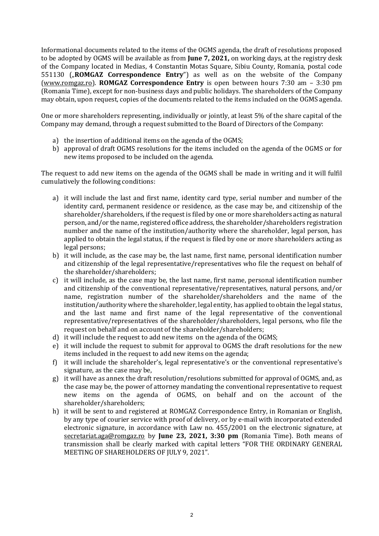Informational documents related to the items of the OGMS agenda, the draft of resolutions proposed to be adopted by OGMS will be available as from **June 7, 2021,** on working days, at the registry desk of the Company located in Medias, 4 Constantin Motas Square, Sibiu County, Romania, postal code 551130 ("ROMGAZ Correspondence Entry") as well as on the website of the Company [\(www.romgaz.ro\)](http://www.romgaz.ro/). **ROMGAZ Correspondence Entry** is open between hours 7:30 am – 3:30 pm (Romania Time), except for non-business days and public holidays. The shareholders of the Company may obtain, upon request, copies of the documents related to the items included on the OGMS agenda.

One or more shareholders representing, individually or jointly, at least 5% of the share capital of the Company may demand, through a request submitted to the Board of Directors of the Company:

- a) the insertion of additional items on the agenda of the OGMS;
- b) approval of draft OGMS resolutions for the items included on the agenda of the OGMS or for new items proposed to be included on the agenda.

The request to add new items on the agenda of the OGMS shall be made in writing and it will fulfil cumulatively the following conditions:

- a) it will include the last and first name, identity card type, serial number and number of the identity card, permanent residence or residence, as the case may be, and citizenship of the shareholder/shareholders, if the request is filed by one or more shareholders acting as natural person, and/or the name, registered office address, the shareholder/shareholders registration number and the name of the institution/authority where the shareholder, legal person, has applied to obtain the legal status, if the request is filed by one or more shareholders acting as legal persons;
- b) it will include, as the case may be, the last name, first name, personal identification number and citizenship of the legal representative/representatives who file the request on behalf of the shareholder/shareholders;
- c) it will include, as the case may be, the last name, first name, personal identification number and citizenship of the conventional representative/representatives, natural persons, and/or name, registration number of the shareholder/shareholders and the name of the institution/authority where the shareholder, legal entity, has applied to obtain the legal status, and the last name and first name of the legal representative of the conventional representative/representatives of the shareholder/shareholders, legal persons, who file the request on behalf and on account of the shareholder/shareholders;
- d) it will include the request to add new items on the agenda of the OGMS;
- e) it will include the request to submit for approval to OGMS the draft resolutions for the new items included in the request to add new items on the agenda;
- f) it will include the shareholder's, legal representative's or the conventional representative's signature, as the case may be,
- g) it will have as annex the draft resolution/resolutions submitted for approval of OGMS, and, as the case may be, the power of attorney mandating the conventional representative to request new items on the agenda of OGMS, on behalf and on the account of the shareholder/shareholders;
- h) it will be sent to and registered at ROMGAZ Correspondence Entry, in Romanian or English, by any type of courier service with proof of delivery, or by e-mail with incorporated extended electronic signature, in accordance with Law no. 455/2001 on the electronic signature, at [secretariat.aga@romgaz.ro](mailto:secretariat.aga%40romgaz.ro) by **June 23, 2021, 3:30 pm** (Romania Time). Both means of transmission shall be clearly marked with capital letters "FOR THE ORDINARY GENERAL MEETING OF SHAREHOLDERS OF JULY 9, 2021".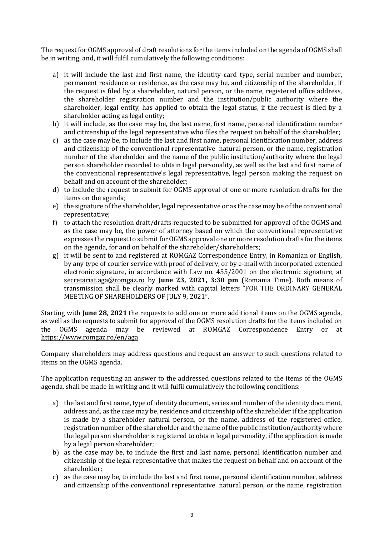The request for OGMS approval of draft resolutions for the items included on the agenda of OGMS shall be in writing, and, it will fulfil cumulatively the following conditions:

- a) it will include the last and first name, the identity card type, serial number and number, permanent residence or residence, as the case may be, and citizenship of the shareholder, if the request is filed by a shareholder, natural person, or the name, registered office address, the shareholder registration number and the institution/public authority where the shareholder, legal entity, has applied to obtain the legal status, if the request is filed by a shareholder acting as legal entity;
- b) it will include, as the case may be, the last name, first name, personal identification number and citizenship of the legal representative who files the request on behalf of the shareholder;
- c) as the case may be, to include the last and first name, personal identification number, address and citizenship of the conventional representative natural person, or the name, registration number of the shareholder and the name of the public institution/authority where the legal person shareholder recorded to obtain legal personality, as well as the last and first name of the conventional representative's legal representative, legal person making the request on behalf and on account of the shareholder;
- d) to include the request to submit for OGMS approval of one or more resolution drafts for the items on the agenda;
- e) the signature of the shareholder, legal representative or as the case may be of the conventional representative;
- f) to attach the resolution draft/drafts requested to be submitted for approval of the OGMS and as the case may be, the power of attorney based on which the conventional representative expresses the request to submit for OGMS approval one or more resolution drafts for the items on the agenda, for and on behalf of the shareholder/shareholders;
- g) it will be sent to and registered at ROMGAZ Correspondence Entry, in Romanian or English, by any type of courier service with proof of delivery, or by e-mail with incorporated extended electronic signature, in accordance with Law no. 455/2001 on the electronic signature, at [secretariat.aga@romgaz.ro](mailto:secretariat.aga%40romgaz.ro) by **June 23, 2021, 3:30 pm** (Romania Time). Both means of transmission shall be clearly marked with capital letters "FOR THE ORDINARY GENERAL MEETING OF SHAREHOLDERS OF JULY 9, 2021".

Starting with **June 28, 2021** the requests to add one or more additional items on the OGMS agenda, as well as the requests to submit for approval of the OGMS resolution drafts for the items included on the OGMS agenda may be reviewed at ROMGAZ Correspondence Entry or at <https://www.romgaz.ro/en/aga>

Company shareholders may address questions and request an answer to such questions related to items on the OGMS agenda.

The application requesting an answer to the addressed questions related to the items of the OGMS agenda, shall be made in writing and it will fulfil cumulatively the following conditions:

- a) the last and first name, type of identity document, series and number of the identity document, address and, as the case may be, residence and citizenship of the shareholder if the application is made by a shareholder natural person, or the name, address of the registered office, registration number of the shareholder and the name of the public institution/authority where the legal person shareholder is registered to obtain legal personality, if the application is made by a legal person shareholder;
- b) as the case may be, to include the first and last name, personal identification number and citizenship of the legal representative that makes the request on behalf and on account of the shareholder;
- c) as the case may be, to include the last and first name, personal identification number, address and citizenship of the conventional representative natural person, or the name, registration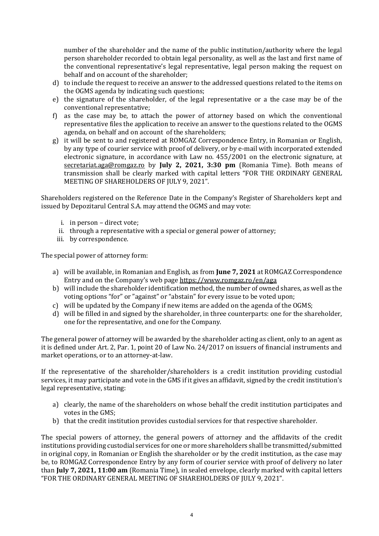number of the shareholder and the name of the public institution/authority where the legal person shareholder recorded to obtain legal personality, as well as the last and first name of the conventional representative's legal representative, legal person making the request on behalf and on account of the shareholder;

- d) to include the request to receive an answer to the addressed questions related to the items on the OGMS agenda by indicating such questions;
- e) the signature of the shareholder, of the legal representative or a the case may be of the conventional representative;
- f) as the case may be, to attach the power of attorney based on which the conventional representative files the application to receive an answer to the questions related to the OGMS agenda, on behalf and on account of the shareholders;
- g) it will be sent to and registered at ROMGAZ Correspondence Entry, in Romanian or English, by any type of courier service with proof of delivery, or by e-mail with incorporated extended electronic signature, in accordance with Law no. 455/2001 on the electronic signature, at [secretariat.aga@romgaz.ro](mailto:secretariat.aga%40romgaz.ro) by **July 2, 2021, 3:30 pm** (Romania Time). Both means of transmission shall be clearly marked with capital letters "FOR THE ORDINARY GENERAL MEETING OF SHAREHOLDERS OF JULY 9, 2021".

Shareholders registered on the Reference Date in the Company's Register of Shareholders kept and issued by Depozitarul Central S.A. may attend the OGMS and may vote:

- i. in person direct vote;
- ii. through a representative with a special or general power of attorney;
- iii. by correspondence.

The special power of attorney form:

- a) will be available, in Romanian and English, as from **June 7, 2021** at ROMGAZ Correspondence Entry and on the Company's web page <https://www.romgaz.ro/en/aga>
- b) will include the shareholder identification method, the number of owned shares, as well as the voting options "for" or "against" or "abstain" for every issue to be voted upon;
- c) will be updated by the Company if new items are added on the agenda of the OGMS;
- d) will be filled in and signed by the shareholder, in three counterparts: one for the shareholder, one for the representative, and one for the Company.

The general power of attorney will be awarded by the shareholder acting as client, only to an agent as it is defined under Art. 2, Par. 1, point 20 of Law No. 24/2017 on issuers of financial instruments and market operations, or to an attorney-at-law.

If the representative of the shareholder/shareholders is a credit institution providing custodial services, it may participate and vote in the GMS if it gives an affidavit, signed by the credit institution's legal representative, stating:

- a) clearly, the name of the shareholders on whose behalf the credit institution participates and votes in the GMS;
- b) that the credit institution provides custodial services for that respective shareholder.

The special powers of attorney, the general powers of attorney and the affidavits of the credit institutions providing custodial services for one or more shareholders shall be transmitted/submitted in original copy, in Romanian or English the shareholder or by the credit institution, as the case may be, to ROMGAZ Correspondence Entry by any form of courier service with proof of delivery no later than **July 7, 2021, 11:00 am** (Romania Time), in sealed envelope, clearly marked with capital letters "FOR THE ORDINARY GENERAL MEETING OF SHAREHOLDERS OF JULY 9, 2021".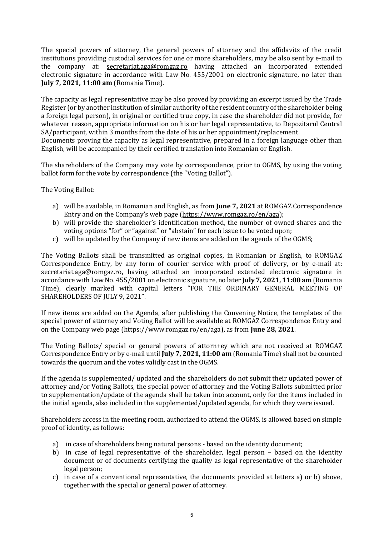The special powers of attorney, the general powers of attorney and the affidavits of the credit institutions providing custodial services for one or more shareholders, may be also sent by e-mail to the company at: [secretariat.aga@romgaz.ro](mailto:secretariat.aga%40romgaz.ro) having attached an incorporated extended electronic signature in accordance with Law No. 455/2001 on electronic signature, no later than **July 7, 2021, 11:00 am** (Romania Time).

The capacity as legal representative may be also proved by providing an excerpt issued by the Trade Register (or by another institution of similar authority of the resident country of the shareholder being a foreign legal person), in original or certified true copy, in case the shareholder did not provide, for whatever reason, appropriate information on his or her legal representative, to Depozitarul Central SA/participant, within 3 months from the date of his or her appointment/replacement.

Documents proving the capacity as legal representative, prepared in a foreign language other than English, will be accompanied by their certified translation into Romanian or English.

The shareholders of the Company may vote by correspondence, prior to OGMS, by using the voting ballot form for the vote by correspondence (the "Voting Ballot").

The Voting Ballot:

- a) will be available, in Romanian and English, as from **June 7, 2021** at ROMGAZ Correspondence Entry and on the Company's web page ([https://www.romgaz.ro/en/aga\)](https://www.romgaz.ro/en/aga);
- b) will provide the shareholder's identification method, the number of owned shares and the voting options "for" or "against" or "abstain" for each issue to be voted upon;
- c) will be updated by the Company if new items are added on the agenda of the OGMS;

The Voting Ballots shall be transmitted as original copies, in Romanian or English, to ROMGAZ Correspondence Entry, by any form of courier service with proof of delivery, or by e-mail at: [secretariat.aga@romgaz.ro,](mailto:secretariat.aga%40romgaz.ro) having attached an incorporated extended electronic signature in accordance with Law No. 455/2001 on electronic signature, no later **July 7, 2021, 11:00 am** (Romania Time), clearly marked with capital letters "FOR THE ORDINARY GENERAL MEETING OF SHAREHOLDERS OF JULY 9, 2021".

If new items are added on the Agenda, after publishing the Convening Notice, the templates of the special power of attorney and Voting Ballot will be available at ROMGAZ Correspondence Entry and on the Company web page [\(https://www.romgaz.ro/en/aga\)](https://www.romgaz.ro/en/aga), as from **June 28, 2021**.

The Voting Ballots/ special or general powers of attorn+ey which are not received at ROMGAZ Correspondence Entry or by e-mail until **July 7, 2021, 11:00 am** (Romania Time) shall not be counted towards the quorum and the votes validly cast in the OGMS.

If the agenda is supplemented/ updated and the shareholders do not submit their updated power of attorney and/or Voting Ballots, the special power of attorney and the Voting Ballots submitted prior to supplementation/update of the agenda shall be taken into account, only for the items included in the initial agenda, also included in the supplemented/updated agenda, for which they were issued.

Shareholders access in the meeting room, authorized to attend the OGMS, is allowed based on simple proof of identity, as follows:

- a) in case of shareholders being natural persons based on the identity document;
- b) in case of legal representative of the shareholder, legal person based on the identity document or of documents certifying the quality as legal representative of the shareholder legal person;
- c) in case of a conventional representative, the documents provided at letters a) or b) above, together with the special or general power of attorney.